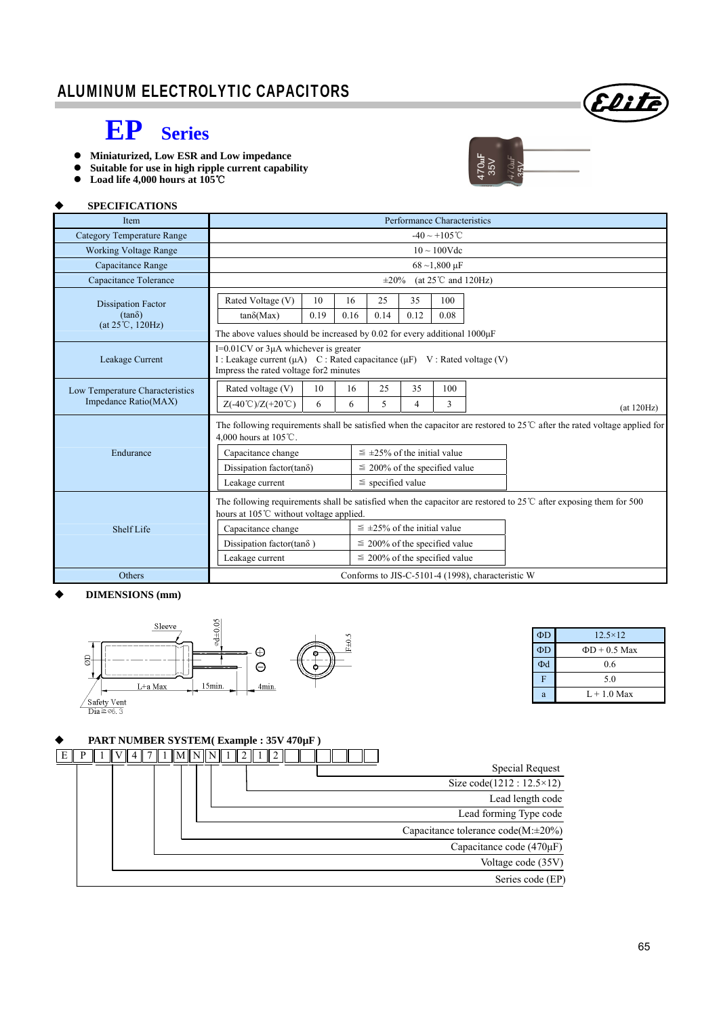### ALUMINUM ELECTROLYTIC CAPACITORS



## **EP Series**

- **Miniaturized, Low ESR and Low impedance**
- **Suitable for use in high ripple current capability**
- **Load life 4,000 hours at 105**℃

#### **SPECIFICATIONS**

| <b>Item</b>                                                             | Performance Characteristics                                                                                                                                                |                                    |      |                                      |      |      |  |             |
|-------------------------------------------------------------------------|----------------------------------------------------------------------------------------------------------------------------------------------------------------------------|------------------------------------|------|--------------------------------------|------|------|--|-------------|
| <b>Category Temperature Range</b>                                       | $-40 \sim +105$ °C                                                                                                                                                         |                                    |      |                                      |      |      |  |             |
| <b>Working Voltage Range</b>                                            | $10 \sim 100$ Vdc                                                                                                                                                          |                                    |      |                                      |      |      |  |             |
| Capacitance Range                                                       | $68 - 1,800 \,\mu F$                                                                                                                                                       |                                    |      |                                      |      |      |  |             |
| Capacitance Tolerance                                                   | (at $25^{\circ}$ C and 120Hz)<br>$\pm 20\%$                                                                                                                                |                                    |      |                                      |      |      |  |             |
| <b>Dissipation Factor</b><br>$(tan\delta)$<br>$(at 25^{\circ}C, 120Hz)$ | Rated Voltage (V)                                                                                                                                                          | 10                                 | 16   | 25                                   | 35   | 100  |  |             |
|                                                                         | $tan\delta(Max)$                                                                                                                                                           | 0.19                               | 0.16 | 0.14                                 | 0.12 | 0.08 |  |             |
|                                                                         | The above values should be increased by 0.02 for every additional $1000\mu$ F                                                                                              |                                    |      |                                      |      |      |  |             |
| Leakage Current                                                         | $I=0.01CV$ or 3 $\mu$ A whichever is greater<br>I: Leakage current $(\mu A)$ C: Rated capacitance $(\mu F)$ V: Rated voltage (V)<br>Impress the rated voltage for2 minutes |                                    |      |                                      |      |      |  |             |
| Low Temperature Characteristics<br>Impedance Ratio(MAX)                 | Rated voltage (V)                                                                                                                                                          | 10                                 | 16   | 25                                   | 35   | 100  |  |             |
|                                                                         | $Z(-40^{\circ}\text{C})/Z(+20^{\circ}\text{C})$                                                                                                                            | 6                                  | 6    | 5                                    | 4    | 3    |  | (at 120 Hz) |
|                                                                         | The following requirements shall be satisfied when the capacitor are restored to $25^{\circ}$ after the rated voltage applied for<br>4.000 hours at $105^{\circ}$ C.       |                                    |      |                                      |      |      |  |             |
| Endurance                                                               | Capacitance change                                                                                                                                                         |                                    |      | $\leq \pm 25\%$ of the initial value |      |      |  |             |
|                                                                         | Dissipation factor(tan $\delta$ )                                                                                                                                          |                                    |      | $\leq$ 200% of the specified value   |      |      |  |             |
|                                                                         | Leakage current                                                                                                                                                            |                                    |      | $\le$ specified value                |      |      |  |             |
|                                                                         | The following requirements shall be satisfied when the capacitor are restored to $25^{\circ}$ C after exposing them for 500<br>hours at 105°C without voltage applied.     |                                    |      |                                      |      |      |  |             |
| <b>Shelf Life</b>                                                       | Capacitance change                                                                                                                                                         |                                    |      | $\leq \pm 25\%$ of the initial value |      |      |  |             |
|                                                                         | Dissipation factor(tan $\delta$ )                                                                                                                                          |                                    |      | $\leq$ 200% of the specified value   |      |      |  |             |
|                                                                         | Leakage current                                                                                                                                                            | $\leq$ 200% of the specified value |      |                                      |      |      |  |             |
| Others                                                                  | Conforms to JIS-C-5101-4 (1998), characteristic W                                                                                                                          |                                    |      |                                      |      |      |  |             |

#### **DIMENSIONS (mm)**



#### **PART NUMBER SYSTEM( Example : 35V 470µF )**



 $\Phi$ D 12.5×12  $\Phi D$   $\Phi D + 0.5$  Max  $\Phi$ d 0.6 F 5.0 a  $L + 1.0$  Max